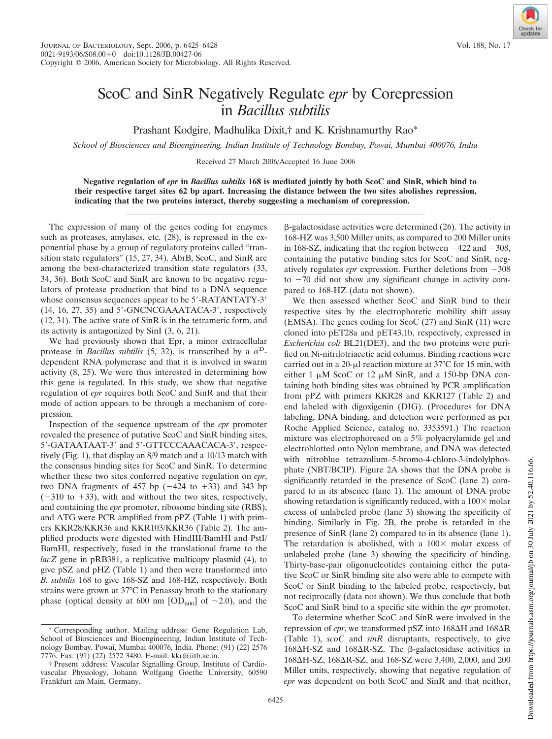## ScoC and SinR Negatively Regulate *epr* by Corepression in *Bacillus subtilis*

Prashant Kodgire, Madhulika Dixit,† and K. Krishnamurthy Rao\*

*School of Biosciences and Bioengineering, Indian Institute of Technology Bombay, Powai, Mumbai 400076, India*

Received 27 March 2006/Accepted 16 June 2006

**Negative regulation of** *epr* **in** *Bacillus subtilis* **168 is mediated jointly by both ScoC and SinR, which bind to their respective target sites 62 bp apart. Increasing the distance between the two sites abolishes repression, indicating that the two proteins interact, thereby suggesting a mechanism of corepression.**

The expression of many of the genes coding for enzymes such as proteases, amylases, etc. (28), is repressed in the exponential phase by a group of regulatory proteins called "transition state regulators" (15, 27, 34). AbrB, ScoC, and SinR are among the best-characterized transition state regulators (33, 34, 36). Both ScoC and SinR are known to be negative regulators of protease production that bind to a DNA sequence whose consensus sequences appear to be 5'-RATANTATY-3'  $(14, 16, 27, 35)$  and  $5'$ -GNCNCGAAATACA-3', respectively (12, 31). The active state of SinR is in the tetrameric form, and its activity is antagonized by SinI (3, 6, 21).

We had previously shown that Epr, a minor extracellular protease in *Bacillus subtilis* (5, 32), is transcribed by a  $\sigma^D$ dependent RNA polymerase and that it is involved in swarm activity (8, 25). We were thus interested in determining how this gene is regulated. In this study, we show that negative regulation of *epr* requires both ScoC and SinR and that their mode of action appears to be through a mechanism of corepression.

Inspection of the sequence upstream of the *epr* promoter revealed the presence of putative ScoC and SinR binding sites, 5'-GATAATAAT-3' and 5'-GTTCCCAAACACA-3', respectively (Fig. 1), that display an 8/9 match and a 10/13 match with the consensus binding sites for ScoC and SinR. To determine whether these two sites conferred negative regulation on *epr*, two DNA fragments of 457 bp  $(-424 \text{ to } +33)$  and 343 bp  $(-310 \text{ to } +33)$ , with and without the two sites, respectively, and containing the *epr* promoter, ribosome binding site (RBS), and ATG were PCR amplified from pPZ (Table 1) with primers KKR28/KKR36 and KKR103/KKR36 (Table 2). The amplified products were digested with HindIII/BamHI and PstI/ BamHI, respectively, fused in the translational frame to the *lacZ* gene in pRB381, a replicative multicopy plasmid (4), to give pSZ and pHZ (Table 1) and then were transformed into *B. subtilis* 168 to give 168-SZ and 168-HZ, respectively. Both strains were grown at 37°C in Penassay broth to the stationary phase (optical density at 600 nm  $[OD_{600}]$  of ~2.0), and the

 $\beta$ -galactosidase activities were determined (26). The activity in 168-HZ was 3,500 Miller units, as compared to 200 Miller units in 168-SZ, indicating that the region between  $-422$  and  $-308$ , containing the putative binding sites for ScoC and SinR, negatively regulates  $epr$  expression. Further deletions from  $-308$ to  $-70$  did not show any significant change in activity compared to 168-HZ (data not shown).

We then assessed whether ScoC and SinR bind to their respective sites by the electrophoretic mobility shift assay (EMSA). The genes coding for ScoC (27) and SinR (11) were cloned into pET28a and pET43.1b, respectively, expressed in *Escherichia coli* BL21(DE3), and the two proteins were purified on Ni-nitrilotriacetic acid columns. Binding reactions were carried out in a 20- $\mu$ l reaction mixture at 37°C for 15 min, with either 1  $\mu$ M ScoC or 12  $\mu$ M SinR, and a 150-bp DNA containing both binding sites was obtained by PCR amplification from pPZ with primers KKR28 and KKR127 (Table 2) and end labeled with digoxigenin (DIG). (Procedures for DNA labeling, DNA binding, and detection were performed as per Roche Applied Science, catalog no. 3353591.) The reaction mixture was electrophoresed on a 5% polyacrylamide gel and electroblotted onto Nylon membrane, and DNA was detected with nitroblue tetrazolium–5-bromo-4-chloro-3-indolylphosphate (NBT/BCIP). Figure 2A shows that the DNA probe is significantly retarded in the presence of ScoC (lane 2) compared to in its absence (lane 1). The amount of DNA probe showing retardation is significantly reduced, with a  $100 \times$  molar excess of unlabeled probe (lane 3) showing the specificity of binding. Similarly in Fig. 2B, the probe is retarded in the presence of SinR (lane 2) compared to in its absence (lane 1). The retardation is abolished, with a  $100 \times$  molar excess of unlabeled probe (lane 3) showing the specificity of binding. Thirty-base-pair oligonucleotides containing either the putative ScoC or SinR binding site also were able to compete with ScoC or SinR binding to the labeled probe, respectively, but not reciprocally (data not shown). We thus conclude that both ScoC and SinR bind to a specific site within the *epr* promoter.

To determine whether ScoC and SinR were involved in the repression of *epr*, we transformed pSZ into  $168\Delta H$  and  $168\Delta R$ (Table 1), *scoC* and *sinR* disruptants, respectively, to give  $168\Delta H$ -SZ and  $168\Delta R$ -SZ. The  $\beta$ -galactosidase activities in 168 H-SZ, 168 R-SZ, and 168-SZ were 3,400, 2,000, and 200 Miller units, respectively, showing that negative regulation of *epr* was dependent on both ScoC and SinR and that neither,

<sup>\*</sup> Corresponding author. Mailing address: Gene Regulation Lab, School of Biosciences and Bioengineering, Indian Institute of Technology Bombay, Powai, Mumbai 400076, India. Phone: (91) (22) 2576 7776. Fax: (91) (22) 2572 3480. E-mail: kkr@iitb.ac.in.

<sup>†</sup> Present address: Vascular Signalling Group, Institute of Cardiovascular Physiology, Johann Wolfgang Goethe University, 60590 Frankfurt am Main, Germany.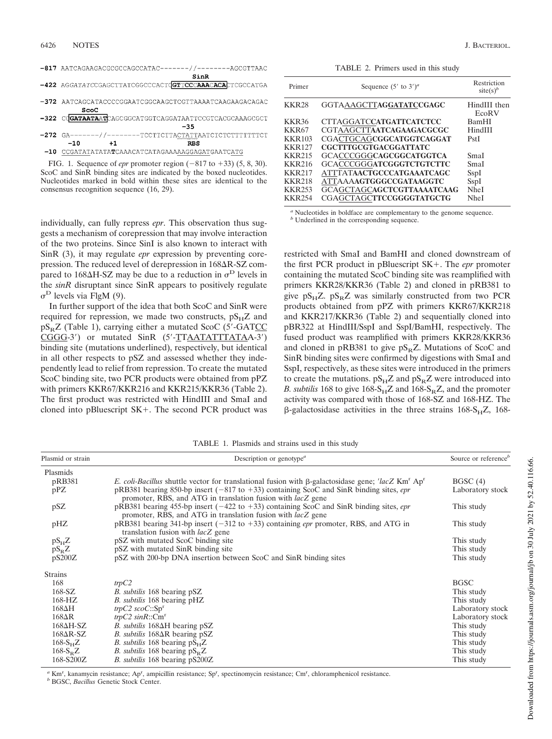| -817 AATCAGAAGACGCGCCAGCCATAC-------//-------AGCGTTAAC    |
|-----------------------------------------------------------|
| SinR                                                      |
| -422 AGGATATCCGAGCTTATCGGCCCACTCGTTCCCAAACACACTCGCCATGA   |
|                                                           |
| ScoC                                                      |
| -322 COGATAATAATCAGCGGCATGGTCAGGATAATTCCGTCACGCAAAGCGCT   |
| $-35$                                                     |
| $-272$ GA-------//--------TCCTTCTTACTATTAATCTCTCTTTTTTTCT |
| $-10$<br>+1<br><b>RBS</b>                                 |
| -10 CCGATATATATATCAAACATCATAGAAAAAGGAGATGAATCATG          |
|                                                           |

FIG. 1. Sequence of *epr* promoter region  $(-817 \text{ to } +33)$   $(5, 8, 30)$ . ScoC and SinR binding sites are indicated by the boxed nucleotides. Nucleotides marked in bold within these sites are identical to the consensus recognition sequence (16, 29).

individually, can fully repress *epr*. This observation thus suggests a mechanism of corepression that may involve interaction of the two proteins. Since SinI is also known to interact with SinR (3), it may regulate *epr* expression by preventing corepression. The reduced level of derepression in  $168\Delta R$ -SZ compared to 168 $\Delta$ H-SZ may be due to a reduction in  $\sigma^D$  levels in the *sinR* disruptant since SinR appears to positively regulate  $\sigma^D$  levels via FlgM (9).

In further support of the idea that both ScoC and SinR were required for repression, we made two constructs,  $pS<sub>H</sub>Z$  and pS<sub>R</sub>Z (Table 1), carrying either a mutated ScoC (5'-GATCC) CGGG-3') or mutated SinR (5'-TTAATATTTATAA-3') binding site (mutations underlined), respectively, but identical in all other respects to pSZ and assessed whether they independently lead to relief from repression. To create the mutated ScoC binding site, two PCR products were obtained from pPZ with primers KKR67/KKR216 and KKR215/KKR36 (Table 2). The first product was restricted with HindIII and SmaI and cloned into pBluescript  $SK+$ . The second PCR product was

TABLE 2. Primers used in this study

| Primer        | Sequence $(5'$ to $3')^a$         | Restriction<br>$site(s)^b$ |
|---------------|-----------------------------------|----------------------------|
| <b>KKR28</b>  | GGTAAAGCTTAGGATATCCGAGC           | HindIII then<br>EcoRV      |
| <b>KKR36</b>  | <b>CTTAGGATCCATGATTCATCTCC</b>    | <b>BamHI</b>               |
| <b>KKR67</b>  | <b>CGTAAGCTTAATCAGAAGACGCGC</b>   | HindIII                    |
| <b>KKR103</b> | CGACTGCAG <b>CGGCATGGTCAGGAT</b>  | PstI                       |
| <b>KKR127</b> | <b>CGCTTTGCGTGACGGATTATC</b>      |                            |
| <b>KKR215</b> | <b>GCACCCGGGCAGCGGCATGGTCA</b>    | SmaI                       |
| <b>KKR216</b> | <b>GCACCCGGGATCGGGTCTGTCTTC</b>   | SmaI                       |
| <b>KKR217</b> | <b>ATTTATAACTGCCCATGAAATCAGC</b>  | SspI                       |
| <b>KKR218</b> | ATTAAAAGTGGGCCGATAAGGTC           | SspI                       |
| <b>KKR253</b> | <b>GCAGCTAGCAGCTCGTTAAAATCAAG</b> | <b>NheI</b>                |
| <b>KKR254</b> | <b>CGAGCTAGCTTCCGGGGTATGCTG</b>   | <b>NheI</b>                |

*<sup>a</sup>* Nucleotides in boldface are complementary to the genome sequence.

*<sup>b</sup>* Underlined in the corresponding sequence.

restricted with SmaI and BamHI and cloned downstream of the first PCR product in pBluescript SK+. The *epr* promoter containing the mutated ScoC binding site was reamplified with primers KKR28/KKR36 (Table 2) and cloned in pRB381 to give  $pS<sub>H</sub>Z$ .  $pS<sub>R</sub>Z$  was similarly constructed from two PCR products obtained from pPZ with primers KKR67/KKR218 and KKR217/KKR36 (Table 2) and sequentially cloned into pBR322 at HindIII/SspI and SspI/BamHI, respectively. The fused product was reamplified with primers KKR28/KKR36 and cloned in pRB381 to give  $p_{R}Z$ . Mutations of ScoC and SinR binding sites were confirmed by digestions with SmaI and SspI, respectively, as these sites were introduced in the primers to create the mutations.  $pS_HZ$  and  $pS_RZ$  were introduced into *B. subtilis* 168 to give  $168-S_HZ$  and  $168-S_RZ$ , and the promoter activity was compared with those of 168-SZ and 168-HZ. The  $\beta$ -galactosidase activities in the three strains 168-S<sub>H</sub>Z, 168-

TABLE 1. Plasmids and strains used in this study

| Plasmid or strain | Description or genotype <sup><math>a</math></sup>                                                                                                                       | Source or reference <sup>b</sup> |
|-------------------|-------------------------------------------------------------------------------------------------------------------------------------------------------------------------|----------------------------------|
| Plasmids          |                                                                                                                                                                         |                                  |
| pRB381            | E. coli-Bacillus shuttle vector for translational fusion with $\beta$ -galactosidase gene; 'lacZ Km' Ap'                                                                | BGSC(4)                          |
| pPZ               | pRB381 bearing 850-bp insert $(-817 \text{ to } +33)$ containing ScoC and SinR binding sites, epr<br>promoter, RBS, and ATG in translation fusion with <i>lacZ</i> gene | Laboratory stock                 |
| pSZ               | pRB381 bearing 455-bp insert $(-422 \text{ to } +33)$ containing ScoC and SinR binding sites, epr<br>promoter, RBS, and ATG in translation fusion with <i>lacZ</i> gene | This study                       |
| pHZ               | pRB381 bearing 341-bp insert $(-312$ to $+33)$ containing <i>epr</i> promoter, RBS, and ATG in<br>translation fusion with <i>lacZ</i> gene                              | This study                       |
| $pS_HZ$           | pSZ with mutated ScoC binding site                                                                                                                                      | This study                       |
| $pS_RZ$           | pSZ with mutated SinR binding site                                                                                                                                      | This study                       |
| pS200Z            | pSZ with 200-bp DNA insertion between ScoC and SinR binding sites                                                                                                       | This study                       |
| <b>Strains</b>    |                                                                                                                                                                         |                                  |
| 168               | trpC2                                                                                                                                                                   | <b>BGSC</b>                      |
| $168-SZ$          | <i>B. subtilis</i> 168 bearing pSZ                                                                                                                                      | This study                       |
| 168-HZ            | B. subtilis 168 bearing pHZ                                                                                                                                             | This study                       |
| $168\Delta H$     | $trpC2 \,scoC$ ::Sp <sup>r</sup>                                                                                                                                        | Laboratory stock                 |
| $168\Delta R$     | $trpC2 \, sinR$ :: $Cmr$                                                                                                                                                | Laboratory stock                 |
| $168\Delta H-SZ$  | B. subtilis $168\Delta H$ bearing pSZ                                                                                                                                   | This study                       |
| $168\Delta R$ -SZ | B. subtilis $168\Delta R$ bearing pSZ                                                                                                                                   | This study                       |
| $168-SHZ$         | <i>B. subtilis</i> 168 bearing $pS_HZ$                                                                                                                                  | This study                       |
| $168-S_RZ$        | <i>B. subtilis</i> 168 bearing $pSBZ$                                                                                                                                   | This study                       |
| 168-S200Z         | <i>B. subtilis</i> 168 bearing pS200Z                                                                                                                                   | This study                       |

a Km<sup>r</sup>, kanamycin resistance; Ap<sup>r</sup>, ampicillin resistance; Sp<sup>r</sup>, spectinomycin resistance; Cm<sup>r</sup>, chloramphenicol resistance.

*<sup>b</sup>* BGSC, *Bacillus* Genetic Stock Center.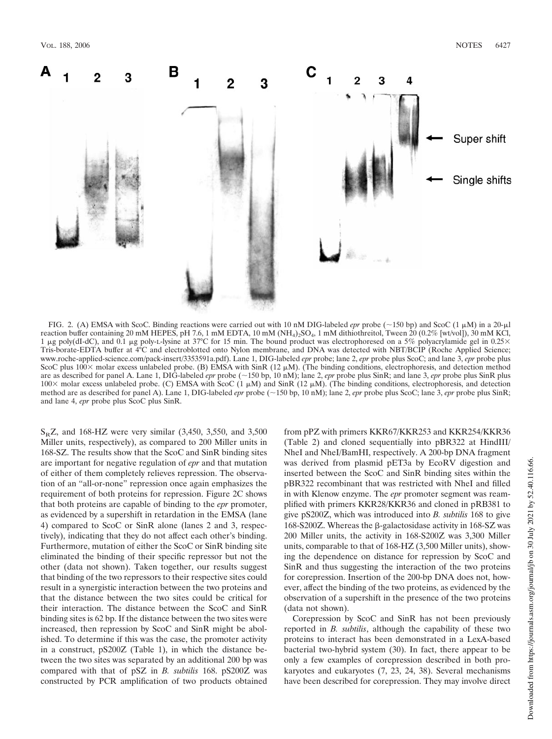

FIG. 2. (A) EMSA with ScoC. Binding reactions were carried out with 10 nM DIG-labeled *epr* probe ( $\sim$ 150 bp) and ScoC (1  $\mu$ M) in a 20- $\mu$ l reaction buffer containing 20 mM HEPES, pH 7.6, 1 mM EDTA, 10 mM (NH<sub>4</sub>)<sub>2</sub>SO<sub>4</sub>, 1 mM dithiothreitol, Tween 20 (0.2% [wt/vol]), 30 mM KCl, 1 µg poly(dI-dC), and 0.1 µg poly-L-lysine at 37°C for 15 min. The bound product was electrophoresed on a 5% polyacrylamide gel in 0.25× Tris-borate-EDTA buffer at 4°C and electroblotted onto Nylon membrane, and DNA was detected with NBT/BCIP (Roche Applied Science; www.roche-applied-science.com/pack-insert/3353591a.pdf). Lane 1, DIG-labeled *epr* probe; lane 2, *epr* probe plus ScoC; and lane 3, *epr* probe plus ScoC plus  $100 \times$  molar excess unlabeled probe. (B) EMSA with SinR (12  $\mu$ M). (The binding conditions, electrophoresis, and detection method are as described for panel A. Lane 1, DIG-labeled *epr* probe (~150 bp, 10 nM); lane 2, *epr* probe plus SinR; and lane 3, *epr* probe plus SinR plus  $100\times$  molar excess unlabeled probe. (C) EMSA with ScoC (1  $\mu$ M) and SinR (12  $\mu$ M). (The binding conditions, electrophoresis, and detection method are as described for panel A). Lane 1, DIG-labeled *epr* probe (~150 bp, 10 nM); lane 2, *epr* probe plus ScoC; lane 3, *epr* probe plus SinR; and lane 4, *epr* probe plus ScoC plus SinR.

 $S<sub>R</sub>Z$ , and 168-HZ were very similar (3,450, 3,550, and 3,500 Miller units, respectively), as compared to 200 Miller units in 168-SZ. The results show that the ScoC and SinR binding sites are important for negative regulation of *epr* and that mutation of either of them completely relieves repression. The observation of an "all-or-none" repression once again emphasizes the requirement of both proteins for repression. Figure 2C shows that both proteins are capable of binding to the *epr* promoter, as evidenced by a supershift in retardation in the EMSA (lane 4) compared to ScoC or SinR alone (lanes 2 and 3, respectively), indicating that they do not affect each other's binding. Furthermore, mutation of either the ScoC or SinR binding site eliminated the binding of their specific repressor but not the other (data not shown). Taken together, our results suggest that binding of the two repressors to their respective sites could result in a synergistic interaction between the two proteins and that the distance between the two sites could be critical for their interaction. The distance between the ScoC and SinR binding sites is 62 bp. If the distance between the two sites were increased, then repression by ScoC and SinR might be abolished. To determine if this was the case, the promoter activity in a construct, pS200Z (Table 1), in which the distance between the two sites was separated by an additional 200 bp was compared with that of pSZ in *B. subtilis* 168. pS200Z was constructed by PCR amplification of two products obtained

from pPZ with primers KKR67/KKR253 and KKR254/KKR36 (Table 2) and cloned sequentially into pBR322 at HindIII/ NheI and NheI/BamHI, respectively. A 200-bp DNA fragment was derived from plasmid pET3a by EcoRV digestion and inserted between the ScoC and SinR binding sites within the pBR322 recombinant that was restricted with NheI and filled in with Klenow enzyme. The *epr* promoter segment was reamplified with primers KKR28/KKR36 and cloned in pRB381 to give pS200Z, which was introduced into *B. subtilis* 168 to give 168-S200Z. Whereas the  $\beta$ -galactosidase activity in 168-SZ was 200 Miller units, the activity in 168-S200Z was 3,300 Miller units, comparable to that of 168-HZ (3,500 Miller units), showing the dependence on distance for repression by ScoC and SinR and thus suggesting the interaction of the two proteins for corepression. Insertion of the 200-bp DNA does not, however, affect the binding of the two proteins, as evidenced by the observation of a supershift in the presence of the two proteins (data not shown).

Corepression by ScoC and SinR has not been previously reported in *B. subtilis*, although the capability of these two proteins to interact has been demonstrated in a LexA-based bacterial two-hybrid system (30). In fact, there appear to be only a few examples of corepression described in both prokaryotes and eukaryotes (7, 23, 24, 38). Several mechanisms have been described for corepression. They may involve direct